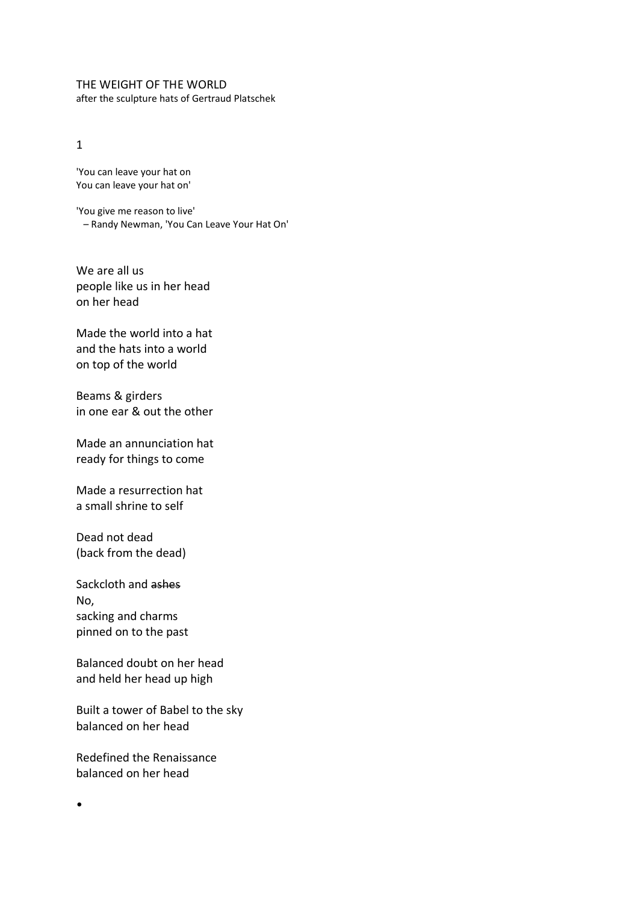THE WEIGHT OF THE WORLD after the sculpture hats of Gertraud Platschek

## 1

'You can leave your hat on You can leave your hat on'

'You give me reason to live' – Randy Newman, 'You Can Leave Your Hat On'

We are all us people like us in her head on her head

Made the world into a hat and the hats into a world on top of the world

Beams & girders in one ear & out the other

Made an annunciation hat ready for things to come

Made a resurrection hat a small shrine to self

Dead not dead (back from the dead)

Sackcloth and ashes No, sacking and charms pinned on to the past

Balanced doubt on her head and held her head up high

Built a tower of Babel to the sky balanced on her head

Redefined the Renaissance balanced on her head

•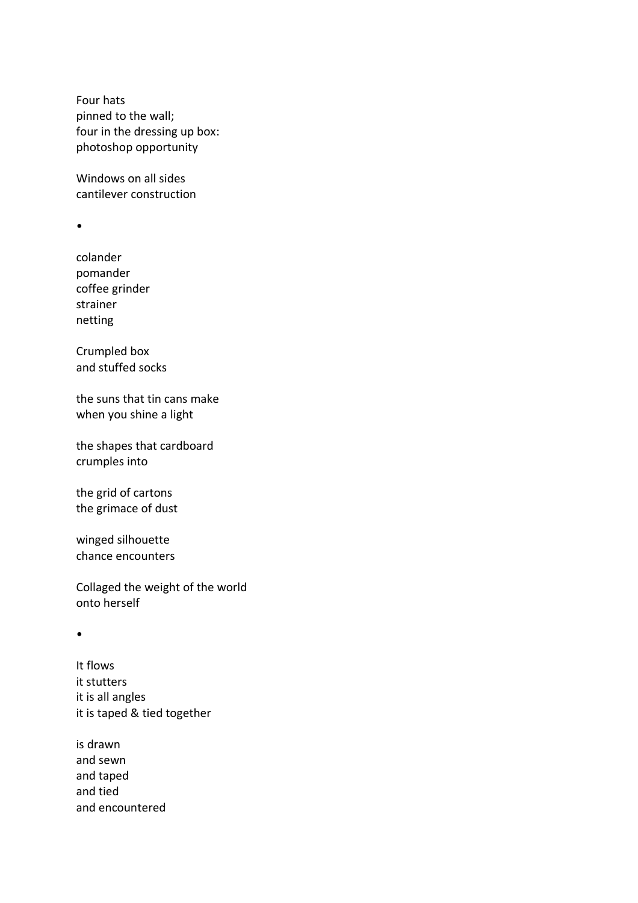Four hats pinned to the wall; four in the dressing up box: photoshop opportunity

Windows on all sides cantilever construction

•

colander pomander coffee grinder strainer netting

Crumpled box and stuffed socks

the suns that tin cans make when you shine a light

the shapes that cardboard crumples into

the grid of cartons the grimace of dust

winged silhouette chance encounters

Collaged the weight of the world onto herself

•

It flows it stutters it is all angles it is taped & tied together

is drawn and sewn and taped and tied and encountered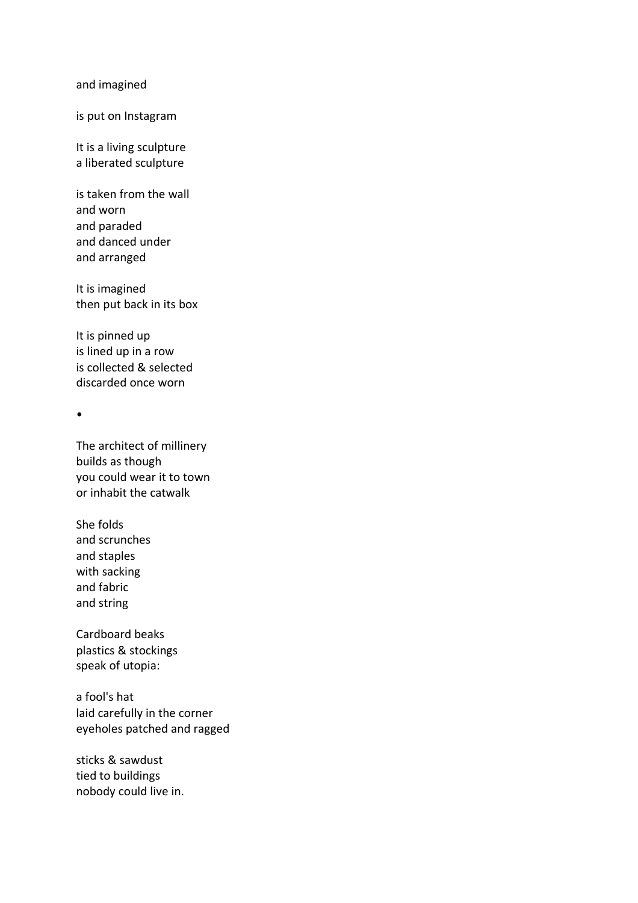## and imagined

is put on Instagram

It is a living sculpture a liberated sculpture

is taken from the wall and worn and paraded and danced under and arranged

It is imagined then put back in its box

It is pinned up is lined up in a row is collected & selected discarded once worn

•

The architect of millinery builds as though you could wear it to town or inhabit the catwalk

She folds and scrunches and staples with sacking and fabric and string

Cardboard beaks plastics & stockings speak of utopia:

a fool's hat laid carefully in the corner eyeholes patched and ragged

sticks & sawdust tied to buildings nobody could live in.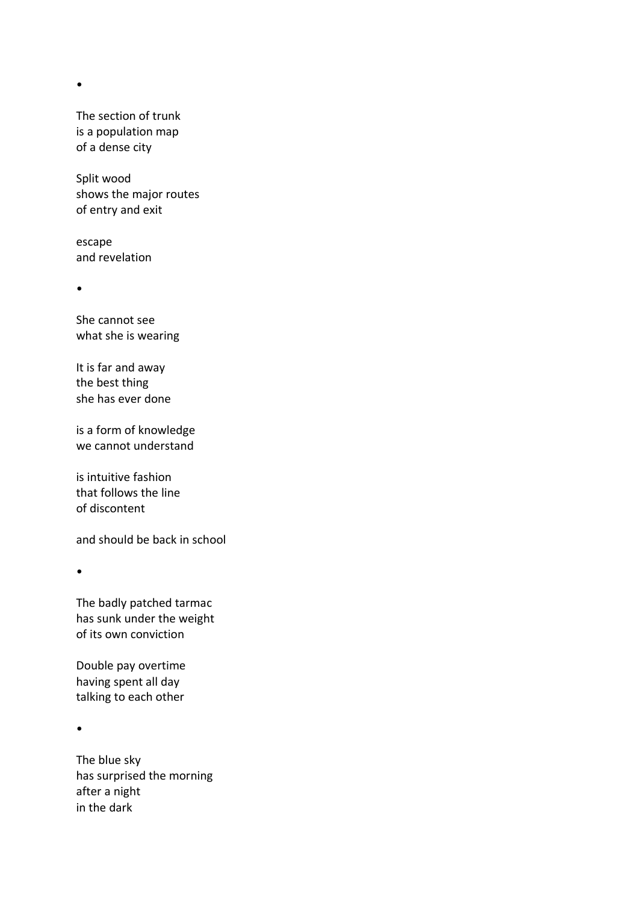•

The section of trunk is a population map of a dense city

Split wood shows the major routes of entry and exit

escape and revelation

•

She cannot see what she is wearing

It is far and away the best thing she has ever done

is a form of knowledge we cannot understand

is intuitive fashion that follows the line of discontent

and should be back in school

•

The badly patched tarmac has sunk under the weight of its own conviction

Double pay overtime having spent all day talking to each other

•

The blue sky has surprised the morning after a night in the dark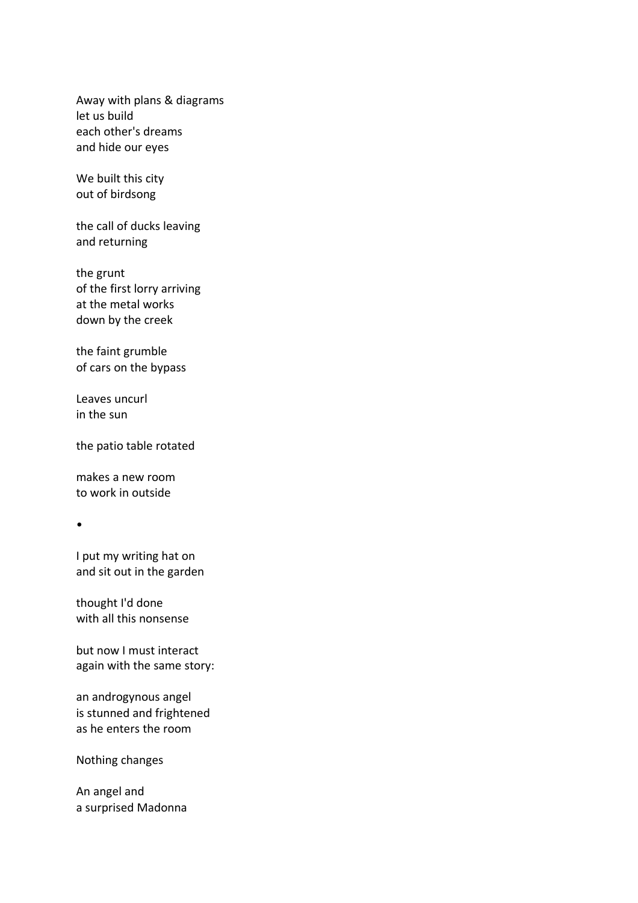Away with plans & diagrams let us build each other's dreams and hide our eyes

We built this city out of birdsong

the call of ducks leaving and returning

the grunt of the first lorry arriving at the metal works down by the creek

the faint grumble of cars on the bypass

Leaves uncurl in the sun

the patio table rotated

makes a new room to work in outside

•

I put my writing hat on and sit out in the garden

thought I'd done with all this nonsense

but now I must interact again with the same story:

an androgynous angel is stunned and frightened as he enters the room

Nothing changes

An angel and a surprised Madonna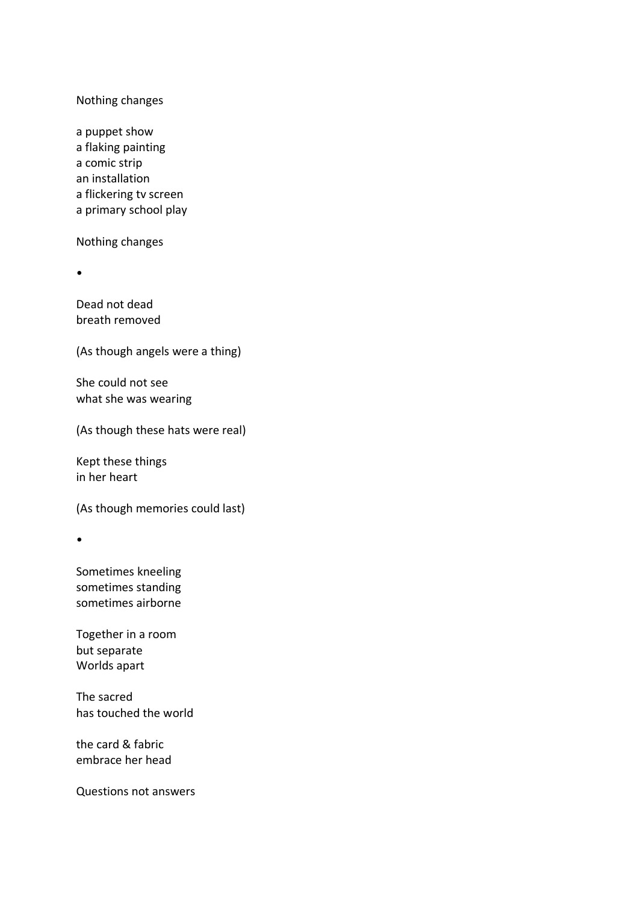## Nothing changes

a puppet show a flaking painting a comic strip an installation a flickering tv screen a primary school play

Nothing changes

•

Dead not dead breath removed

(As though angels were a thing)

She could not see what she was wearing

(As though these hats were real)

Kept these things in her heart

(As though memories could last)

•

Sometimes kneeling sometimes standing sometimes airborne

Together in a room but separate Worlds apart

The sacred has touched the world

the card & fabric embrace her head

Questions not answers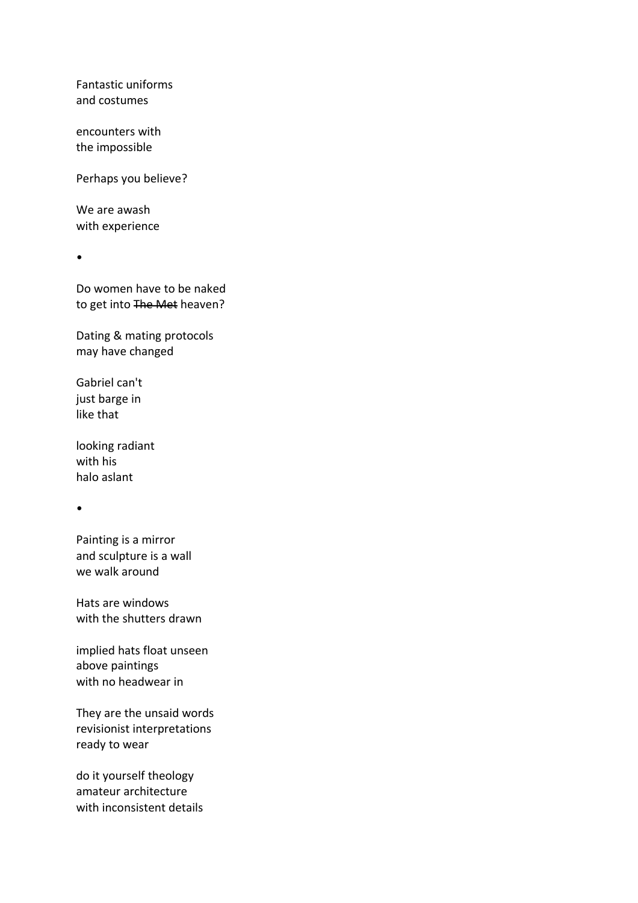Fantastic uniforms and costumes

encounters with the impossible

Perhaps you believe?

We are awash with experience

•

Do women have to be naked to get into The Met heaven?

Dating & mating protocols may have changed

Gabriel can't just barge in like that

looking radiant with his halo aslant

•

Painting is a mirror and sculpture is a wall we walk around

Hats are windows with the shutters drawn

implied hats float unseen above paintings with no headwear in

They are the unsaid words revisionist interpretations ready to wear

do it yourself theology amateur architecture with inconsistent details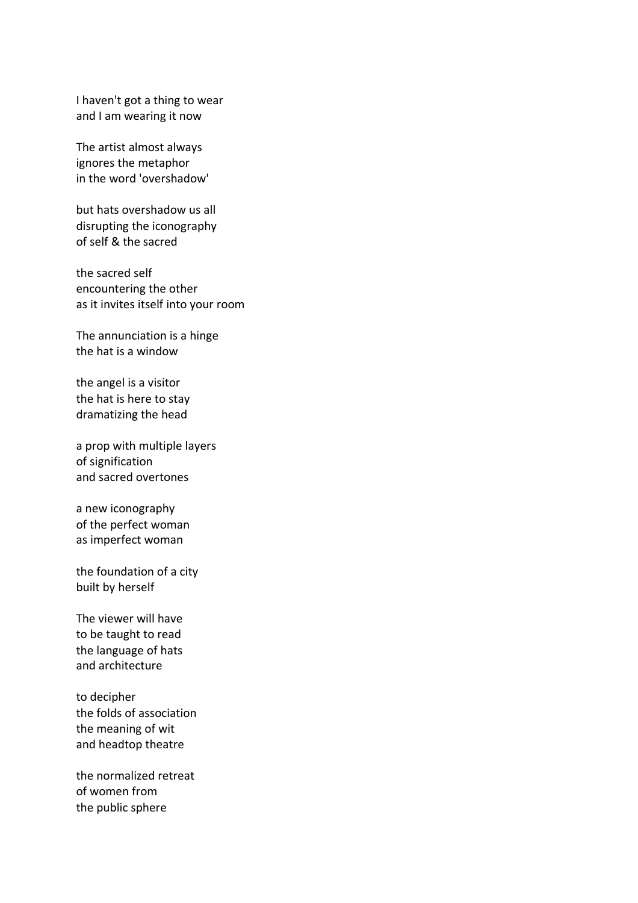I haven't got a thing to wear and I am wearing it now

The artist almost always ignores the metaphor in the word 'overshadow'

but hats overshadow us all disrupting the iconography of self & the sacred

the sacred self encountering the other as it invites itself into your room

The annunciation is a hinge the hat is a window

the angel is a visitor the hat is here to stay dramatizing the head

a prop with multiple layers of signification and sacred overtones

a new iconography of the perfect woman as imperfect woman

the foundation of a city built by herself

The viewer will have to be taught to read the language of hats and architecture

to decipher the folds of association the meaning of wit and headtop theatre

the normalized retreat of women from the public sphere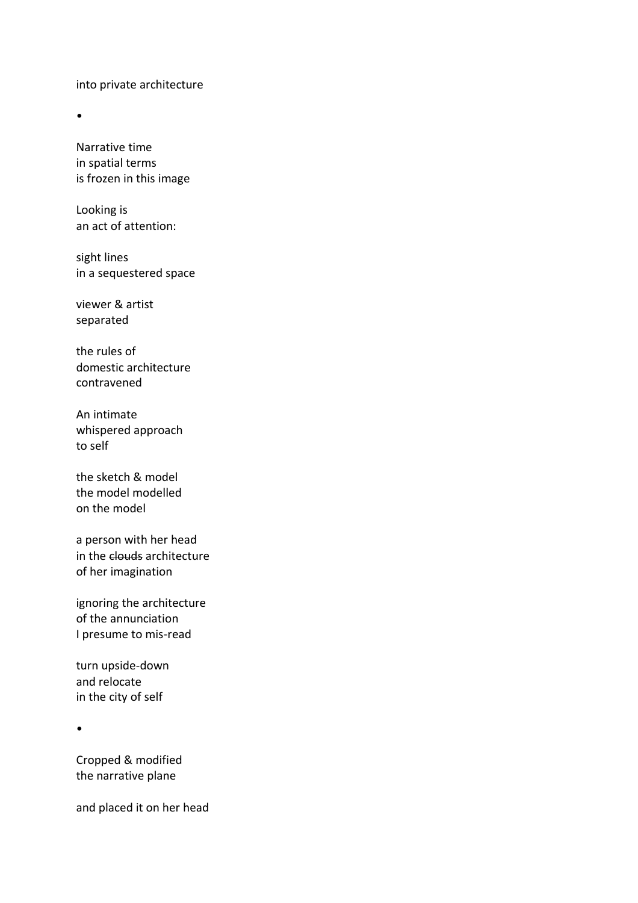into private architecture

•

Narrative time in spatial terms is frozen in this image

Looking is an act of attention:

sight lines in a sequestered space

viewer & artist separated

the rules of domestic architecture contravened

An intimate whispered approach to self

the sketch & model the model modelled on the model

a person with her head in the clouds architecture of her imagination

ignoring the architecture of the annunciation I presume to mis-read

turn upside-down and relocate in the city of self

•

Cropped & modified the narrative plane

and placed it on her head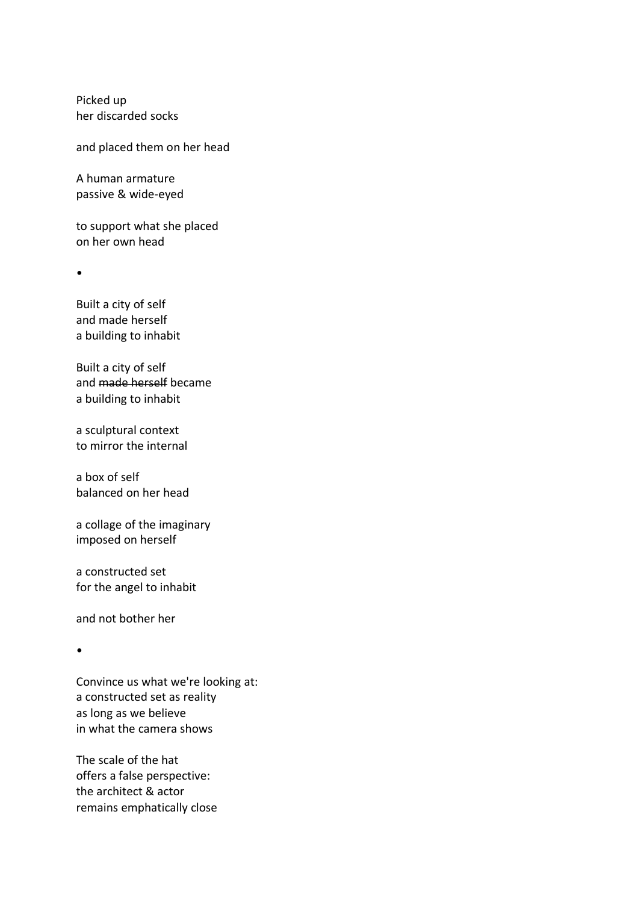Picked up her discarded socks

and placed them on her head

A human armature passive & wide-eyed

to support what she placed on her own head

•

Built a city of self and made herself a building to inhabit

Built a city of self and made herself became a building to inhabit

a sculptural context to mirror the internal

a box of self balanced on her head

a collage of the imaginary imposed on herself

a constructed set for the angel to inhabit

and not bother her

•

Convince us what we're looking at: a constructed set as reality as long as we believe in what the camera shows

The scale of the hat offers a false perspective: the architect & actor remains emphatically close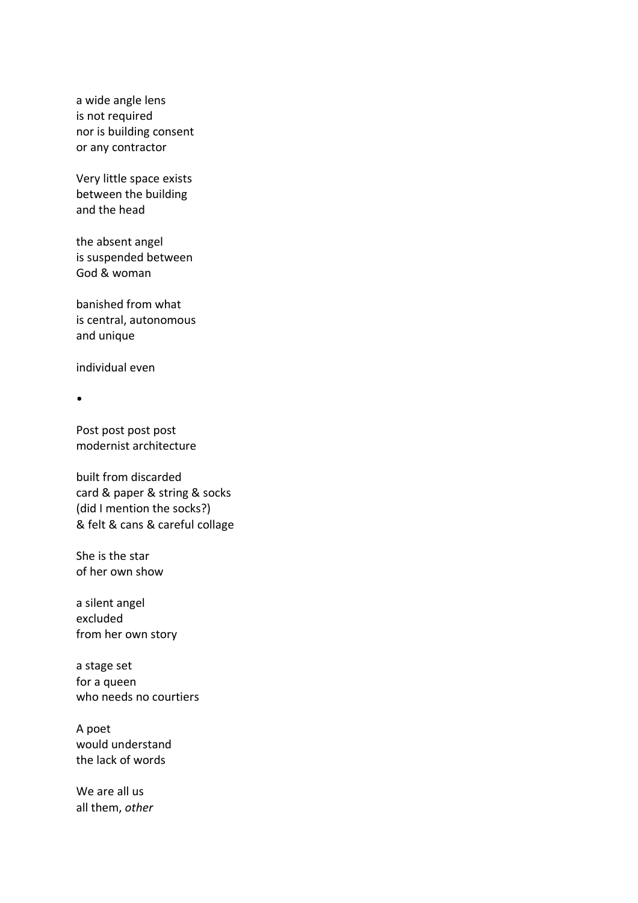a wide angle lens is not required nor is building consent or any contractor

Very little space exists between the building and the head

the absent angel is suspended between God & woman

banished from what is central, autonomous and unique

individual even

•

Post post post post modernist architecture

built from discarded card & paper & string & socks (did I mention the socks?) & felt & cans & careful collage

She is the star of her own show

a silent angel excluded from her own story

a stage set for a queen who needs no courtiers

A poet would understand the lack of words

We are all us all them, *other*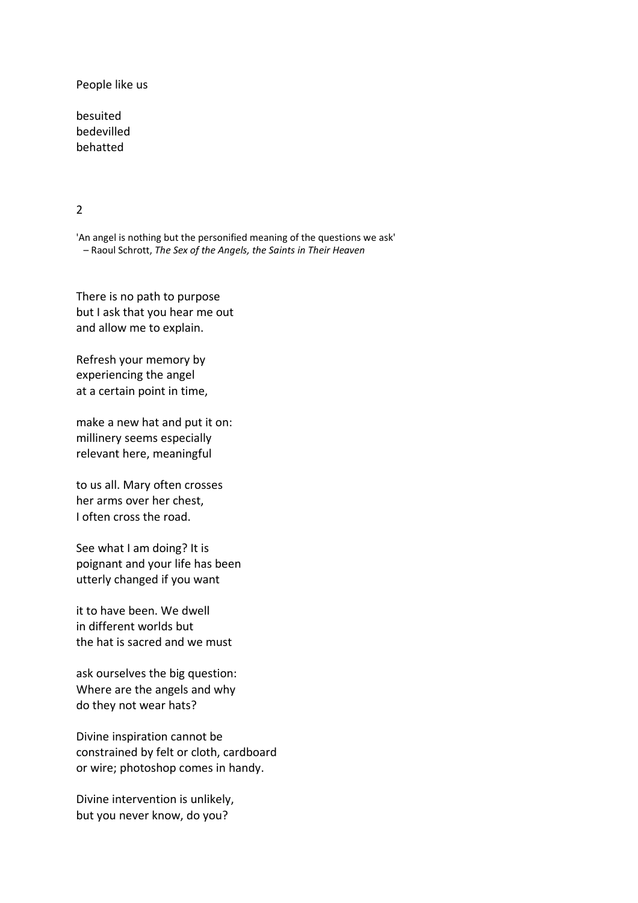People like us

besuited bedevilled behatted

## 2

'An angel is nothing but the personified meaning of the questions we ask' – Raoul Schrott, *The Sex of the Angels, the Saints in Their Heaven*

There is no path to purpose but I ask that you hear me out and allow me to explain.

Refresh your memory by experiencing the angel at a certain point in time,

make a new hat and put it on: millinery seems especially relevant here, meaningful

to us all. Mary often crosses her arms over her chest, I often cross the road.

See what I am doing? It is poignant and your life has been utterly changed if you want

it to have been. We dwell in different worlds but the hat is sacred and we must

ask ourselves the big question: Where are the angels and why do they not wear hats?

Divine inspiration cannot be constrained by felt or cloth, cardboard or wire; photoshop comes in handy.

Divine intervention is unlikely, but you never know, do you?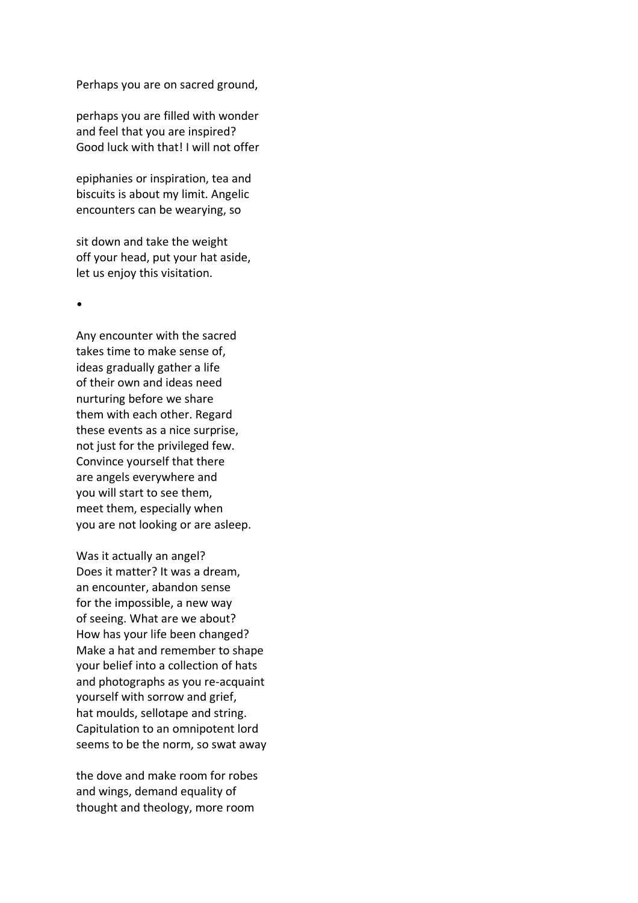Perhaps you are on sacred ground,

perhaps you are filled with wonder and feel that you are inspired? Good luck with that! I will not offer

epiphanies or inspiration, tea and biscuits is about my limit. Angelic encounters can be wearying, so

sit down and take the weight off your head, put your hat aside, let us enjoy this visitation.

•

Any encounter with the sacred takes time to make sense of, ideas gradually gather a life of their own and ideas need nurturing before we share them with each other. Regard these events as a nice surprise, not just for the privileged few. Convince yourself that there are angels everywhere and you will start to see them, meet them, especially when you are not looking or are asleep.

Was it actually an angel? Does it matter? It was a dream, an encounter, abandon sense for the impossible, a new way of seeing. What are we about? How has your life been changed? Make a hat and remember to shape your belief into a collection of hats and photographs as you re-acquaint yourself with sorrow and grief, hat moulds, sellotape and string. Capitulation to an omnipotent lord seems to be the norm, so swat away

the dove and make room for robes and wings, demand equality of thought and theology, more room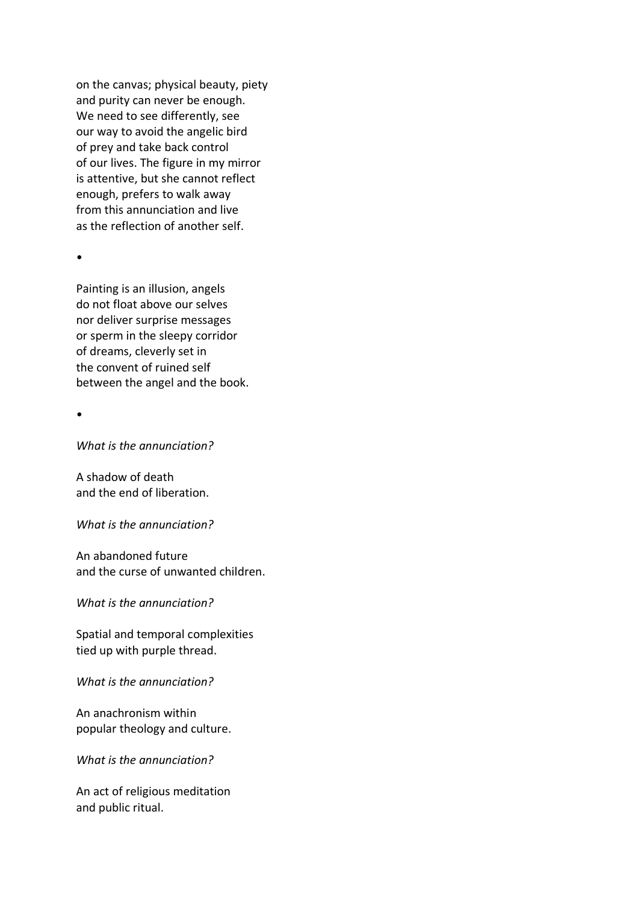on the canvas; physical beauty, piety and purity can never be enough. We need to see differently, see our way to avoid the angelic bird of prey and take back control of our lives. The figure in my mirror is attentive, but she cannot reflect enough, prefers to walk away from this annunciation and live as the reflection of another self.

•

Painting is an illusion, angels do not float above our selves nor deliver surprise messages or sperm in the sleepy corridor of dreams, cleverly set in the convent of ruined self between the angel and the book.

•

*What is the annunciation?*

A shadow of death and the end of liberation.

*What is the annunciation?*

An abandoned future and the curse of unwanted children.

*What is the annunciation?*

Spatial and temporal complexities tied up with purple thread.

*What is the annunciation?*

An anachronism within popular theology and culture.

*What is the annunciation?*

An act of religious meditation and public ritual.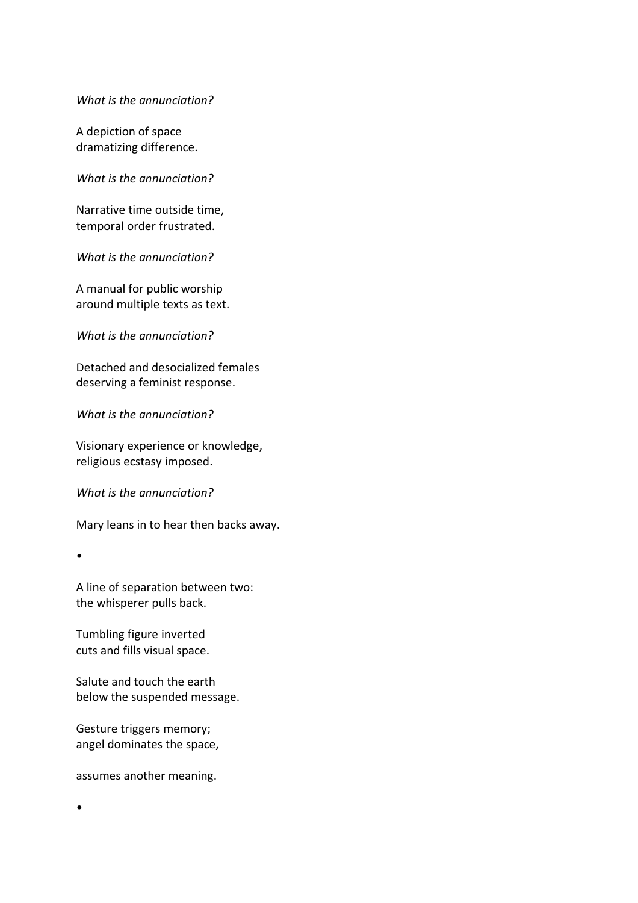*What is the annunciation?*

A depiction of space dramatizing difference.

*What is the annunciation?*

Narrative time outside time, temporal order frustrated.

*What is the annunciation?*

A manual for public worship around multiple texts as text.

*What is the annunciation?*

Detached and desocialized females deserving a feminist response.

*What is the annunciation?*

Visionary experience or knowledge, religious ecstasy imposed.

*What is the annunciation?*

Mary leans in to hear then backs away.

•

•

A line of separation between two: the whisperer pulls back.

Tumbling figure inverted cuts and fills visual space.

Salute and touch the earth below the suspended message.

Gesture triggers memory; angel dominates the space,

assumes another meaning.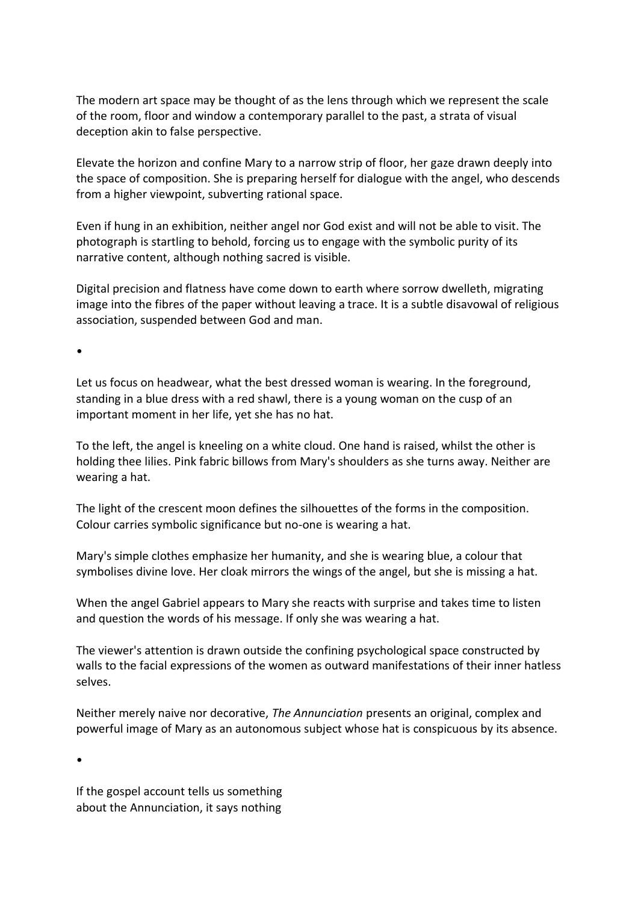The modern art space may be thought of as the lens through which we represent the scale of the room, floor and window a contemporary parallel to the past, a strata of visual deception akin to false perspective.

Elevate the horizon and confine Mary to a narrow strip of floor, her gaze drawn deeply into the space of composition. She is preparing herself for dialogue with the angel, who descends from a higher viewpoint, subverting rational space.

Even if hung in an exhibition, neither angel nor God exist and will not be able to visit. The photograph is startling to behold, forcing us to engage with the symbolic purity of its narrative content, although nothing sacred is visible.

Digital precision and flatness have come down to earth where sorrow dwelleth, migrating image into the fibres of the paper without leaving a trace. It is a subtle disavowal of religious association, suspended between God and man.

•

Let us focus on headwear, what the best dressed woman is wearing. In the foreground, standing in a blue dress with a red shawl, there is a young woman on the cusp of an important moment in her life, yet she has no hat.

To the left, the angel is kneeling on a white cloud. One hand is raised, whilst the other is holding thee lilies. Pink fabric billows from Mary's shoulders as she turns away. Neither are wearing a hat.

The light of the crescent moon defines the silhouettes of the forms in the composition. Colour carries symbolic significance but no-one is wearing a hat.

Mary's simple clothes emphasize her humanity, and she is wearing blue, a colour that symbolises divine love. Her cloak mirrors the wings of the angel, but she is missing a hat.

When the angel Gabriel appears to Mary she reacts with surprise and takes time to listen and question the words of his message. If only she was wearing a hat.

The viewer's attention is drawn outside the confining psychological space constructed by walls to the facial expressions of the women as outward manifestations of their inner hatless selves.

Neither merely naive nor decorative, *The Annunciation* presents an original, complex and powerful image of Mary as an autonomous subject whose hat is conspicuous by its absence.

•

If the gospel account tells us something about the Annunciation, it says nothing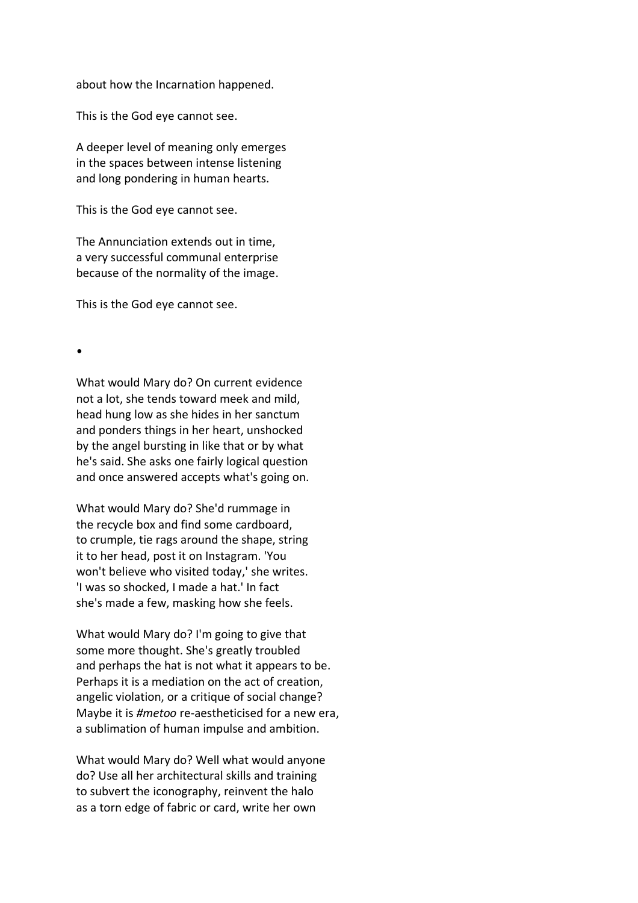about how the Incarnation happened.

This is the God eye cannot see.

A deeper level of meaning only emerges in the spaces between intense listening and long pondering in human hearts.

This is the God eye cannot see.

The Annunciation extends out in time, a very successful communal enterprise because of the normality of the image.

This is the God eye cannot see.

•

What would Mary do? On current evidence not a lot, she tends toward meek and mild, head hung low as she hides in her sanctum and ponders things in her heart, unshocked by the angel bursting in like that or by what he's said. She asks one fairly logical question and once answered accepts what's going on.

What would Mary do? She'd rummage in the recycle box and find some cardboard, to crumple, tie rags around the shape, string it to her head, post it on Instagram. 'You won't believe who visited today,' she writes. 'I was so shocked, I made a hat.' In fact she's made a few, masking how she feels.

What would Mary do? I'm going to give that some more thought. She's greatly troubled and perhaps the hat is not what it appears to be. Perhaps it is a mediation on the act of creation, angelic violation, or a critique of social change? Maybe it is *#metoo* re-aestheticised for a new era, a sublimation of human impulse and ambition.

What would Mary do? Well what would anyone do? Use all her architectural skills and training to subvert the iconography, reinvent the halo as a torn edge of fabric or card, write her own